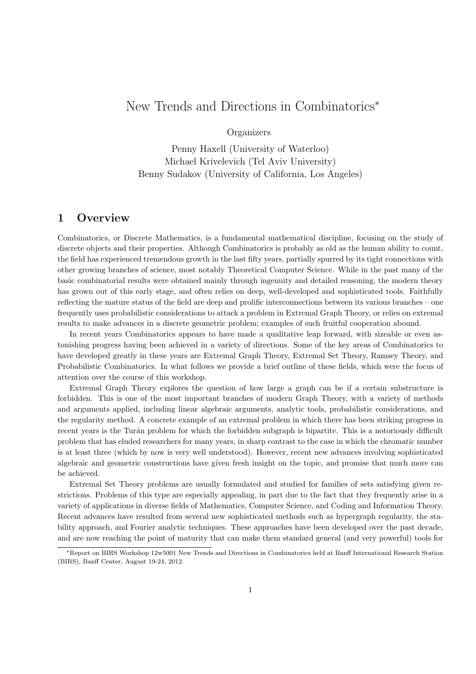# New Trends and Directions in Combinatorics<sup>∗</sup>

## **Organizers**

Penny Haxell (University of Waterloo) Michael Krivelevich (Tel Aviv University) Benny Sudakov (University of California, Los Angeles)

## 1 Overview

Combinatorics, or Discrete Mathematics, is a fundamental mathematical discipline, focusing on the study of discrete objects and their properties. Although Combinatorics is probably as old as the human ability to count, the field has experienced tremendous growth in the last fifty years, partially spurred by its tight connections with other growing branches of science, most notably Theoretical Computer Science. While in the past many of the basic combinatorial results were obtained mainly through ingenuity and detailed reasoning, the modern theory has grown out of this early stage, and often relies on deep, well-developed and sophisticated tools. Faithfully reflecting the mature status of the field are deep and prolific interconnections between its various branches – one frequently uses probabilistic considerations to attack a problem in Extremal Graph Theory, or relies on extremal results to make advances in a discrete geometric problem; examples of such fruitful cooperation abound.

In recent years Combinatorics appears to have made a qualitative leap forward, with sizeable or even astonishing progress having been achieved in a variety of directions. Some of the key areas of Combinatorics to have developed greatly in these years are Extremal Graph Theory, Extremal Set Theory, Ramsey Theory, and Probabilistic Combinatorics. In what follows we provide a brief outline of these fields, which were the focus of attention over the course of this workshop.

Extremal Graph Theory explores the question of how large a graph can be if a certain substructure is forbidden. This is one of the most important branches of modern Graph Theory, with a variety of methods and arguments applied, including linear algebraic arguments, analytic tools, probabilistic considerations, and the regularity method. A concrete example of an extremal problem in which there has been striking progress in recent years is the Turán problem for which the forbidden subgraph is bipartite. This is a notoriously difficult problem that has eluded researchers for many years, in sharp contrast to the case in which the chromatic number is at least three (which by now is very well understood). However, recent new advances involving sophisticated algebraic and geometric constructions have given fresh insight on the topic, and promise that much more can be achieved.

Extremal Set Theory problems are usually formulated and studied for families of sets satisfying given restrictions. Problems of this type are especially appealing, in part due to the fact that they frequently arise in a variety of applications in diverse fields of Mathematics, Computer Science, and Coding and Information Theory. Recent advances have resulted from several new sophisticated methods such as hypergraph regularity, the stability approach, and Fourier analytic techniques. These approaches have been developed over the past decade, and are now reaching the point of maturity that can make them standard general (and very powerful) tools for

<sup>∗</sup>Report on BIRS Workshop 12w5001 New Trends and Directions in Combinatorics held at Banff International Research Station (BIRS), Banff Center, August 19-24, 2012.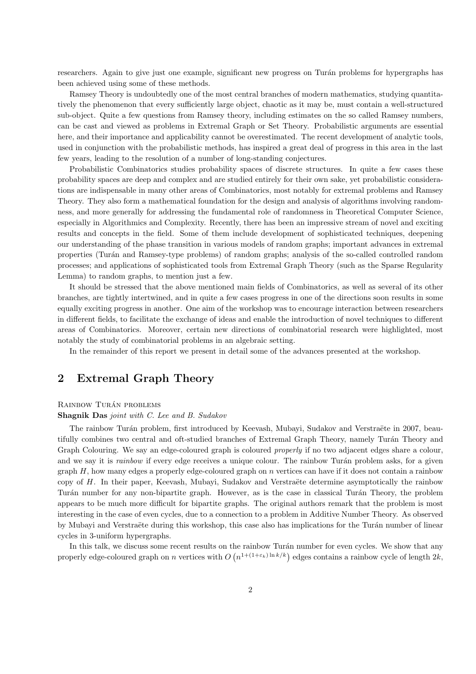researchers. Again to give just one example, significant new progress on Turán problems for hypergraphs has been achieved using some of these methods.

Ramsey Theory is undoubtedly one of the most central branches of modern mathematics, studying quantitatively the phenomenon that every sufficiently large object, chaotic as it may be, must contain a well-structured sub-object. Quite a few questions from Ramsey theory, including estimates on the so called Ramsey numbers, can be cast and viewed as problems in Extremal Graph or Set Theory. Probabilistic arguments are essential here, and their importance and applicability cannot be overestimated. The recent development of analytic tools, used in conjunction with the probabilistic methods, has inspired a great deal of progress in this area in the last few years, leading to the resolution of a number of long-standing conjectures.

Probabilistic Combinatorics studies probability spaces of discrete structures. In quite a few cases these probability spaces are deep and complex and are studied entirely for their own sake, yet probabilistic considerations are indispensable in many other areas of Combinatorics, most notably for extremal problems and Ramsey Theory. They also form a mathematical foundation for the design and analysis of algorithms involving randomness, and more generally for addressing the fundamental role of randomness in Theoretical Computer Science, especially in Algorithmics and Complexity. Recently, there has been an impressive stream of novel and exciting results and concepts in the field. Some of them include development of sophisticated techniques, deepening our understanding of the phase transition in various models of random graphs; important advances in extremal properties (Tur´an and Ramsey-type problems) of random graphs; analysis of the so-called controlled random processes; and applications of sophisticated tools from Extremal Graph Theory (such as the Sparse Regularity Lemma) to random graphs, to mention just a few.

It should be stressed that the above mentioned main fields of Combinatorics, as well as several of its other branches, are tightly intertwined, and in quite a few cases progress in one of the directions soon results in some equally exciting progress in another. One aim of the workshop was to encourage interaction between researchers in different fields, to facilitate the exchange of ideas and enable the introduction of novel techniques to different areas of Combinatorics. Moreover, certain new directions of combinatorial research were highlighted, most notably the study of combinatorial problems in an algebraic setting.

In the remainder of this report we present in detail some of the advances presented at the workshop.

## 2 Extremal Graph Theory

#### RAINBOW TURÁN PROBLEMS

#### Shagnik Das joint with C. Lee and B. Sudakov

The rainbow Turán problem, first introduced by Keevash, Mubayi, Sudakov and Verstraëte in 2007, beautifully combines two central and oft-studied branches of Extremal Graph Theory, namely Turán Theory and Graph Colouring. We say an edge-coloured graph is coloured *properly* if no two adjacent edges share a colour, and we say it is *rainbow* if every edge receives a unique colour. The rainbow Turán problem asks, for a given graph H, how many edges a properly edge-coloured graph on n vertices can have if it does not contain a rainbow copy of  $H$ . In their paper, Keevash, Mubayi, Sudakov and Verstraëte determine asymptotically the rainbow Turán number for any non-bipartite graph. However, as is the case in classical Turán Theory, the problem appears to be much more difficult for bipartite graphs. The original authors remark that the problem is most interesting in the case of even cycles, due to a connection to a problem in Additive Number Theory. As observed by Mubayi and Verstraëte during this workshop, this case also has implications for the Turán number of linear cycles in 3-uniform hypergraphs.

In this talk, we discuss some recent results on the rainbow Turán number for even cycles. We show that any properly edge-coloured graph on n vertices with  $O(n^{1+(1+\epsilon_k)\ln k/k})$  edges contains a rainbow cycle of length  $2k$ ,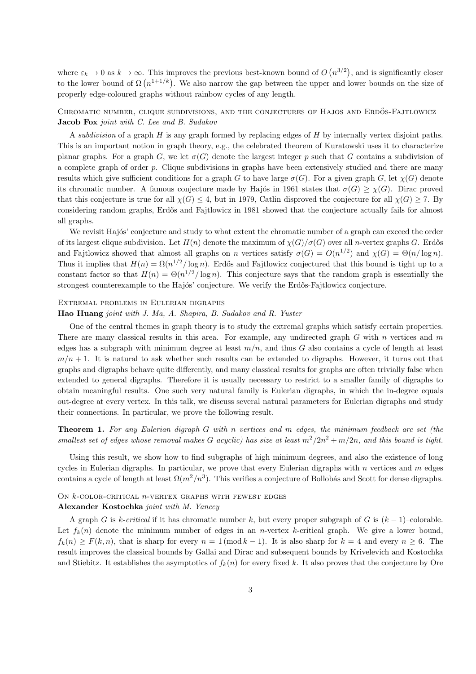where  $\varepsilon_k \to 0$  as  $k \to \infty$ . This improves the previous best-known bound of  $O(n^{3/2})$ , and is significantly closer to the lower bound of  $\Omega(n^{1+1/k})$ . We also narrow the gap between the upper and lower bounds on the size of properly edge-coloured graphs without rainbow cycles of any length.

## CHROMATIC NUMBER, CLIQUE SUBDIVISIONS, AND THE CONJECTURES OF HAJOS AND ERDÖS-FAJTLOWICZ Jacob Fox joint with C. Lee and B. Sudakov

A subdivision of a graph  $H$  is any graph formed by replacing edges of  $H$  by internally vertex disjoint paths. This is an important notion in graph theory, e.g., the celebrated theorem of Kuratowski uses it to characterize planar graphs. For a graph G, we let  $\sigma(G)$  denote the largest integer p such that G contains a subdivision of a complete graph of order p. Clique subdivisions in graphs have been extensively studied and there are many results which give sufficient conditions for a graph G to have large  $\sigma(G)$ . For a given graph G, let  $\chi(G)$  denote its chromatic number. A famous conjecture made by Hajós in 1961 states that  $\sigma(G) > \chi(G)$ . Dirac proved that this conjecture is true for all  $\chi(G) \leq 4$ , but in 1979, Catlin disproved the conjecture for all  $\chi(G) \geq 7$ . By considering random graphs, Erdős and Fajtlowicz in 1981 showed that the conjecture actually fails for almost all graphs.

We revisit Hajós' conjecture and study to what extent the chromatic number of a graph can exceed the order of its largest clique subdivision. Let  $H(n)$  denote the maximum of  $\chi(G)/\sigma(G)$  over all n-vertex graphs G. Erdős and Fajtlowicz showed that almost all graphs on n vertices satisfy  $\sigma(G) = O(n^{1/2})$  and  $\chi(G) = \Theta(n/\log n)$ . Thus it implies that  $H(n) = \Omega(n^{1/2}/\log n)$ . Erdős and Fajtlowicz conjectured that this bound is tight up to a constant factor so that  $H(n) = \Theta(n^{1/2}/\log n)$ . This conjecture says that the random graph is essentially the strongest counterexample to the Hajós' conjecture. We verify the Erdős-Fajtlowicz conjecture.

#### Extremal problems in Eulerian digraphs

#### Hao Huang joint with J. Ma, A. Shapira, B. Sudakov and R. Yuster

One of the central themes in graph theory is to study the extremal graphs which satisfy certain properties. There are many classical results in this area. For example, any undirected graph  $G$  with  $n$  vertices and  $m$ edges has a subgraph with minimum degree at least  $m/n$ , and thus G also contains a cycle of length at least  $m/n + 1$ . It is natural to ask whether such results can be extended to digraphs. However, it turns out that graphs and digraphs behave quite differently, and many classical results for graphs are often trivially false when extended to general digraphs. Therefore it is usually necessary to restrict to a smaller family of digraphs to obtain meaningful results. One such very natural family is Eulerian digraphs, in which the in-degree equals out-degree at every vertex. In this talk, we discuss several natural parameters for Eulerian digraphs and study their connections. In particular, we prove the following result.

Theorem 1. For any Eulerian digraph G with n vertices and m edges, the minimum feedback arc set (the smallest set of edges whose removal makes G acyclic) has size at least  $m^2/2n^2 + m/2n$ , and this bound is tight.

Using this result, we show how to find subgraphs of high minimum degrees, and also the existence of long cycles in Eulerian digraphs. In particular, we prove that every Eulerian digraphs with  $n$  vertices and  $m$  edges contains a cycle of length at least  $\Omega(m^2/n^3)$ . This verifies a conjecture of Bollobás and Scott for dense digraphs.

### ON  $k$ -COLOR-CRITICAL  $n$ -VERTEX GRAPHS WITH FEWEST EDGES

#### Alexander Kostochka joint with M. Yancey

A graph G is k-critical if it has chromatic number k, but every proper subgraph of G is  $(k-1)$ –colorable. Let  $f_k(n)$  denote the minimum number of edges in an *n*-vertex k-critical graph. We give a lower bound,  $f_k(n) \geq F(k,n)$ , that is sharp for every  $n = 1 \pmod{k-1}$ . It is also sharp for  $k = 4$  and every  $n \geq 6$ . The result improves the classical bounds by Gallai and Dirac and subsequent bounds by Krivelevich and Kostochka and Stiebitz. It establishes the asymptotics of  $f_k(n)$  for every fixed k. It also proves that the conjecture by Ore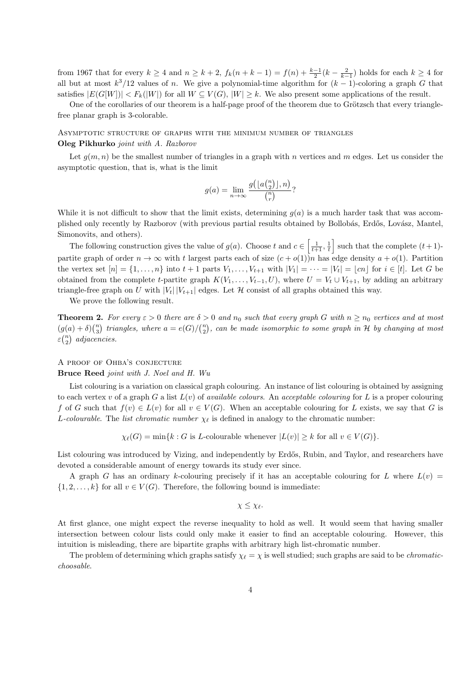from 1967 that for every  $k \ge 4$  and  $n \ge k + 2$ ,  $f_k(n + k - 1) = f(n) + \frac{k-1}{2}(k - \frac{2}{k-1})$  holds for each  $k \ge 4$  for all but at most  $k^3/12$  values of n. We give a polynomial-time algorithm for  $(k-1)$ -coloring a graph G that satisfies  $|E(G[W])| < F_k(|W|)$  for all  $W \subseteq V(G), |W| \geq k$ . We also present some applications of the result.

One of the corollaries of our theorem is a half-page proof of the theorem due to Grötzsch that every trianglefree planar graph is 3-colorable.

Asymptotic structure of graphs with the minimum number of triangles Oleg Pikhurko joint with A. Razborov

Let  $g(m, n)$  be the smallest number of triangles in a graph with n vertices and m edges. Let us consider the asymptotic question, that is, what is the limit

$$
g(a) = \lim_{n \to \infty} \frac{g(\lfloor a \binom{n}{2} \rfloor, n)}{\binom{n}{r}}?
$$

While it is not difficult to show that the limit exists, determining  $g(a)$  is a much harder task that was accomplished only recently by Razborov (with previous partial results obtained by Bollobás, Erdős, Lovász, Mantel, Simonovits, and others).

The following construction gives the value of  $g(a)$ . Choose t and  $c \in \left[\frac{1}{t+1}, \frac{1}{t}\right]$  such that the complete  $(t+1)$ partite graph of order  $n \to \infty$  with t largest parts each of size  $(c + o(1))$ <sup>n</sup> has edge density  $a + o(1)$ . Partition the vertex set  $[n] = \{1, \ldots, n\}$  into  $t + 1$  parts  $V_1, \ldots, V_{t+1}$  with  $|V_1| = \cdots = |V_t| = \lfloor cn \rfloor$  for  $i \in [t]$ . Let G be obtained from the complete t-partite graph  $K(V_1, \ldots, V_{t-1}, U)$ , where  $U = V_t \cup V_{t+1}$ , by adding an arbitrary triangle-free graph on U with  $|V_t| |V_{t+1}|$  edges. Let H consist of all graphs obtained this way.

We prove the following result.

**Theorem 2.** For every  $\varepsilon > 0$  there are  $\delta > 0$  and  $n_0$  such that every graph G with  $n \geq n_0$  vertices and at most  $(g(a) + \delta) {n \choose 3}$  triangles, where  $a = e(G)/{n \choose 2}$ , can be made isomorphic to some graph in H by changing at most  $\varepsilon\binom{n}{2}$  adjacencies.

## A proof of Ohba's conjecture

Bruce Reed joint with J. Noel and H. Wu

List colouring is a variation on classical graph colouring. An instance of list colouring is obtained by assigning to each vertex v of a graph G a list  $L(v)$  of *available colours*. An *acceptable colouring* for L is a proper colouring f of G such that  $f(v) \in L(v)$  for all  $v \in V(G)$ . When an acceptable colouring for L exists, we say that G is L-colourable. The list chromatic number  $\chi_{\ell}$  is defined in analogy to the chromatic number:

 $\chi_{\ell}(G) = \min\{k : G \text{ is } L\text{-colourable whenever } |L(v)| \geq k \text{ for all } v \in V(G)\}.$ 

List colouring was introduced by Vizing, and independently by Erdős, Rubin, and Taylor, and researchers have devoted a considerable amount of energy towards its study ever since.

A graph G has an ordinary k-colouring precisely if it has an acceptable colouring for L where  $L(v)$  =  $\{1, 2, \ldots, k\}$  for all  $v \in V(G)$ . Therefore, the following bound is immediate:

 $\chi \leq \chi_{\ell}$ .

At first glance, one might expect the reverse inequality to hold as well. It would seem that having smaller intersection between colour lists could only make it easier to find an acceptable colouring. However, this intuition is misleading, there are bipartite graphs with arbitrary high list-chromatic number.

The problem of determining which graphs satisfy  $\chi_{\ell} = \chi$  is well studied; such graphs are said to be *chromatic*choosable.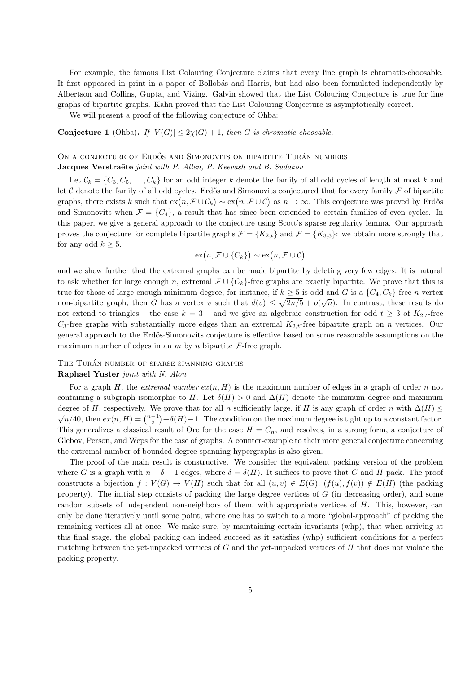For example, the famous List Colouring Conjecture claims that every line graph is chromatic-choosable. It first appeared in print in a paper of Bollobás and Harris, but had also been formulated independently by Albertson and Collins, Gupta, and Vizing. Galvin showed that the List Colouring Conjecture is true for line graphs of bipartite graphs. Kahn proved that the List Colouring Conjecture is asymptotically correct.

We will present a proof of the following conjecture of Ohba:

### **Conjecture 1** (Ohba). If  $|V(G)| \leq 2\chi(G) + 1$ , then G is chromatic-choosable.

## ON A CONJECTURE OF ERDŐS AND SIMONOVITS ON BIPARTITE TURÁN NUMBERS Jacques Verstraëte joint with P. Allen, P. Keevash and B. Sudakov

Let  $\mathcal{C}_k = \{C_3, C_5, \ldots, C_k\}$  for an odd integer k denote the family of all odd cycles of length at most k and let C denote the family of all odd cycles. Erdős and Simonovits conjectured that for every family  $\mathcal F$  of bipartite graphs, there exists k such that  $ex(n, \mathcal{F} \cup \mathcal{C}_k) \sim ex(n, \mathcal{F} \cup \mathcal{C})$  as  $n \to \infty$ . This conjecture was proved by Erdős and Simonovits when  $\mathcal{F} = \{C_4\}$ , a result that has since been extended to certain families of even cycles. In this paper, we give a general approach to the conjecture using Scott's sparse regularity lemma. Our approach proves the conjecture for complete bipartite graphs  $\mathcal{F} = \{K_{2,t}\}\$ and  $\mathcal{F} = \{K_{3,3}\}\$ : we obtain more strongly that for any odd  $k \geq 5$ ,

$$
\mathrm{ex}(n,\mathcal{F}\cup\{C_k\})\sim\mathrm{ex}(n,\mathcal{F}\cup\mathcal{C})
$$

and we show further that the extremal graphs can be made bipartite by deleting very few edges. It is natural to ask whether for large enough n, extremal  $\mathcal{F} \cup \{C_k\}$ -free graphs are exactly bipartite. We prove that this is true for those of large enough minimum degree, for instance, if  $k \geq 5$  is odd and G is a  $\{C_4, C_k\}$ -free n-vertex non-bipartite graph, then G has a vertex v such that  $d(v) \leq \sqrt{2n/5} + o(\sqrt{n})$ . In contrast, these results do not extend to triangles – the case  $k = 3$  – and we give an algebraic construction for odd  $t \geq 3$  of  $K_{2,t}$ -free  $C_3$ -free graphs with substantially more edges than an extremal  $K_{2,t}$ -free bipartite graph on n vertices. Our general approach to the Erdős-Simonovits conjecture is effective based on some reasonable assumptions on the maximum number of edges in an  $m$  by  $n$  bipartite  $\mathcal{F}$ -free graph.

## THE TURÁN NUMBER OF SPARSE SPANNING GRAPHS

## Raphael Yuster joint with N. Alon

For a graph H, the *extremal number ex(n, H)* is the maximum number of edges in a graph of order n not containing a subgraph isomorphic to H. Let  $\delta(H) > 0$  and  $\Delta(H)$  denote the minimum degree and maximum degree of H, respectively. We prove that for all n sufficiently large, if H is any graph of order n with  $\Delta(H) \leq$  $\sqrt{n}/40$ , then  $ex(n, H) = {n-1 \choose 2} + \delta(H) - 1$ . The condition on the maximum degree is tight up to a constant factor. This generalizes a classical result of Ore for the case  $H = C_n$ , and resolves, in a strong form, a conjecture of Glebov, Person, and Weps for the case of graphs. A counter-example to their more general conjecture concerning the extremal number of bounded degree spanning hypergraphs is also given.

The proof of the main result is constructive. We consider the equivalent packing version of the problem where G is a graph with  $n - \delta - 1$  edges, where  $\delta = \delta(H)$ . It suffices to prove that G and H pack. The proof constructs a bijection  $f: V(G) \to V(H)$  such that for all  $(u, v) \in E(G)$ ,  $(f(u), f(v)) \notin E(H)$  (the packing property). The initial step consists of packing the large degree vertices of G (in decreasing order), and some random subsets of independent non-neighbors of them, with appropriate vertices of  $H$ . This, however, can only be done iteratively until some point, where one has to switch to a more "global-approach" of packing the remaining vertices all at once. We make sure, by maintaining certain invariants (whp), that when arriving at this final stage, the global packing can indeed succeed as it satisfies (whp) sufficient conditions for a perfect matching between the yet-unpacked vertices of  $G$  and the yet-unpacked vertices of  $H$  that does not violate the packing property.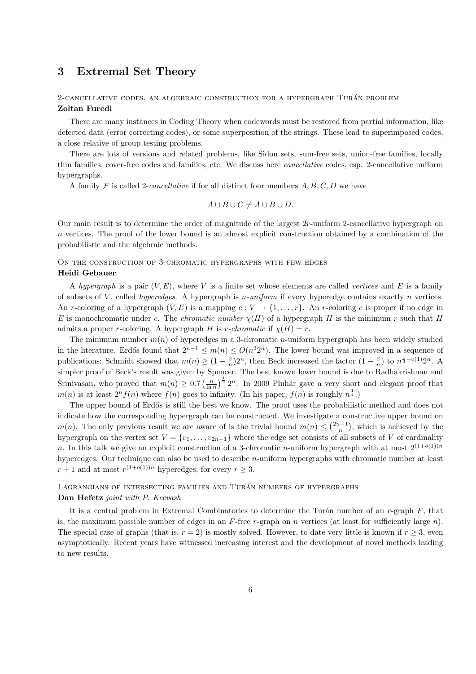## 3 Extremal Set Theory

### 2-CANCELLATIVE CODES, AN ALGEBRAIC CONSTRUCTION FOR A HYPERGRAPH TURÁN PROBLEM Zoltan Furedi

There are many instances in Coding Theory when codewords must be restored from partial information, like defected data (error correcting codes), or some superposition of the strings. These lead to superimposed codes, a close relative of group testing problems.

There are lots of versions and related problems, like Sidon sets, sum-free sets, union-free families, locally thin families, cover-free codes and families, etc. We discuss here cancellative codes, esp. 2-cancellative uniform hypergraphs.

A family  $\mathcal F$  is called 2-cancellative if for all distinct four members  $A, B, C, D$  we have

$$
A \cup B \cup C \neq A \cup B \cup D.
$$

Our main result is to determine the order of magnitude of the largest 2r-uniform 2-cancellative hypergraph on n vertices. The proof of the lower bound is an almost explicit construction obtained by a combination of the probabilistic and the algebraic methods.

## On the construction of 3-chromatic hypergraphs with few edges Heidi Gebauer

A hypergraph is a pair  $(V, E)$ , where V is a finite set whose elements are called vertices and E is a family of subsets of V, called *hyperedges*. A hypergraph is *n-uniform* if every hyperedge contains exactly *n* vertices. An r-coloring of a hypergraph  $(V, E)$  is a mapping  $c: V \to \{1, \ldots, r\}$ . An r-coloring c is proper if no edge in E is monochromatic under c. The chromatic number  $\chi(H)$  of a hypergraph H is the minimum r such that H admits a proper r-coloring. A hypergraph H is r-chromatic if  $\chi(H) = r$ .

The minimum number  $m(n)$  of hyperedges in a 3-chromatic *n*-uniform hypergraph has been widely studied in the literature. Erdős found that  $2^{n-1} \leq m(n) \leq O(n^2 2^n)$ . The lower bound was improved in a sequence of publications: Schmidt showed that  $m(n) \geq (1 - \frac{2}{n})2^n$ , then Beck increased the factor  $(1 - \frac{2}{n})$  to  $n^{\frac{1}{3} - o(1)}2^n$ . A simpler proof of Beck's result was given by Spencer. The best known lower bound is due to Radhakrishnan and Srinivasan, who proved that  $m(n) \geq 0.7 \left(\frac{n}{\ln n}\right)^{\frac{1}{2}} 2^n$ . In 2009 Pluhár gave a very short and elegant proof that  $m(n)$  is at least  $2^n f(n)$  where  $f(n)$  goes to infinity. (In his paper,  $f(n)$  is roughly  $n^{\frac{1}{4}}$ .)

The upper bound of Erdős is still the best we know. The proof uses the probabilistic method and does not indicate how the corresponding hypergraph can be constructed. We investigate a constructive upper bound on  $m(n)$ . The only previous result we are aware of is the trivial bound  $m(n) \leq {2n-1 \choose n}$ , which is achieved by the hypergraph on the vertex set  $V = \{v_1, \ldots, v_{2n-1}\}\$  where the edge set consists of all subsets of V of cardinality n. In this talk we give an explicit construction of a 3-chromatic n-uniform hypergraph with at most  $2^{(1+o(1))n}$ hyperedges. Our technique can also be used to describe n-uniform hypergraphs with chromatic number at least  $r+1$  and at most  $r^{(1+o(1))n}$  hyperedges, for every  $r \geq 3$ .

## LAGRANGIANS OF INTERSECTING FAMILIES AND TURAN NUMBERS OF HYPERGRAPHS Dan Hefetz joint with P. Keevash

It is a central problem in Extremal Combinatorics to determine the Turán number of an  $r$ -graph  $F$ , that is, the maximum possible number of edges in an  $F$ -free r-graph on n vertices (at least for sufficiently large n). The special case of graphs (that is,  $r = 2$ ) is mostly solved. However, to date very little is known if  $r > 3$ , even asymptotically. Recent years have witnessed increasing interest and the development of novel methods leading to new results.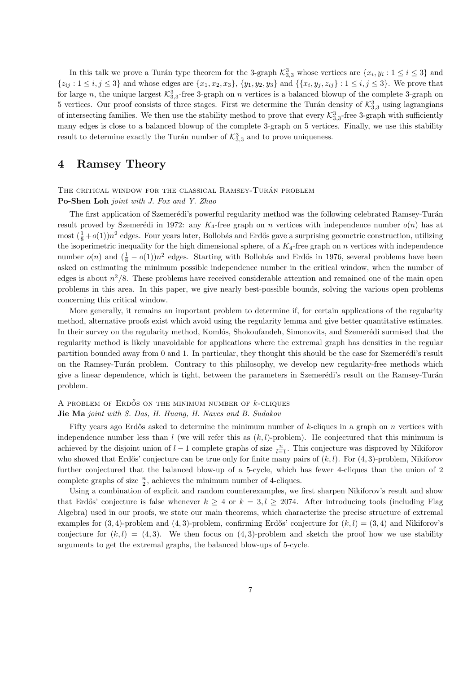In this talk we prove a Turán type theorem for the 3-graph  $\mathcal{K}_{3,3}^3$  whose vertices are  $\{x_i, y_i : 1 \le i \le 3\}$  and  $\{z_{ij}: 1 \le i,j \le 3\}$  and whose edges are  $\{x_1, x_2, x_3\}, \{y_1, y_2, y_3\}$  and  $\{\{x_i, y_j, z_{ij}\}: 1 \le i,j \le 3\}$ . We prove that for large n, the unique largest  $\mathcal{K}_{3,3}^3$ -free 3-graph on n vertices is a balanced blowup of the complete 3-graph on 5 vertices. Our proof consists of three stages. First we determine the Turán density of  $\mathcal{K}_{3,3}^3$  using lagrangians of intersecting families. We then use the stability method to prove that every  $\mathcal{K}_{3,3}^3$ -free 3-graph with sufficiently many edges is close to a balanced blowup of the complete 3-graph on 5 vertices. Finally, we use this stability result to determine exactly the Turán number of  $\mathcal{K}_{3,3}^3$  and to prove uniqueness.

## 4 Ramsey Theory

## THE CRITICAL WINDOW FOR THE CLASSICAL RAMSEY-TURÁN PROBLEM Po-Shen Loh joint with J. Fox and Y. Zhao

The first application of Szemerédi's powerful regularity method was the following celebrated Ramsey-Turán result proved by Szemerédi in 1972: any K<sub>4</sub>-free graph on n vertices with independence number  $o(n)$  has at most  $(\frac{1}{8}+o(1))n^2$  edges. Four years later, Bollobás and Erdős gave a surprising geometric construction, utilizing the isoperimetric inequality for the high dimensional sphere, of a  $K_4$ -free graph on n vertices with independence number  $o(n)$  and  $(\frac{1}{8} - o(1))n^2$  edges. Starting with Bollobás and Erdős in 1976, several problems have been asked on estimating the minimum possible independence number in the critical window, when the number of edges is about  $n^2/8$ . These problems have received considerable attention and remained one of the main open problems in this area. In this paper, we give nearly best-possible bounds, solving the various open problems concerning this critical window.

More generally, it remains an important problem to determine if, for certain applications of the regularity method, alternative proofs exist which avoid using the regularity lemma and give better quantitative estimates. In their survey on the regularity method, Komlós, Shokoufandeh, Simonovits, and Szemerédi surmised that the regularity method is likely unavoidable for applications where the extremal graph has densities in the regular partition bounded away from 0 and 1. In particular, they thought this should be the case for Szemerédi's result on the Ramsey-Turán problem. Contrary to this philosophy, we develop new regularity-free methods which give a linear dependence, which is tight, between the parameters in Szemerédi's result on the Ramsey-Turán problem.

#### A PROBLEM OF ERDOS ON THE MINIMUM NUMBER OF  $k$ -CLIQUES

### Jie Ma joint with S. Das, H. Huang, H. Naves and B. Sudakov

Fifty years ago Erdős asked to determine the minimum number of  $k$ -cliques in a graph on  $n$  vertices with independence number less than  $l$  (we will refer this as  $(k, l)$ -problem). He conjectured that this minimum is achieved by the disjoint union of  $l-1$  complete graphs of size  $\frac{n}{l-1}$ . This conjecture was disproved by Nikiforov who showed that Erdős' conjecture can be true only for finite many pairs of  $(k, l)$ . For  $(4, 3)$ -problem, Nikiforov further conjectured that the balanced blow-up of a 5-cycle, which has fewer 4-cliques than the union of 2 complete graphs of size  $\frac{n}{2}$ , achieves the minimum number of 4-cliques.

Using a combination of explicit and random counterexamples, we first sharpen Nikiforov's result and show that Erdős' conjecture is false whenever  $k \geq 4$  or  $k = 3, l \geq 2074$ . After introducing tools (including Flag Algebra) used in our proofs, we state our main theorems, which characterize the precise structure of extremal examples for  $(3, 4)$ -problem and  $(4, 3)$ -problem, confirming Erdős' conjecture for  $(k, l) = (3, 4)$  and Nikiforov's conjecture for  $(k, l) = (4, 3)$ . We then focus on  $(4, 3)$ -problem and sketch the proof how we use stability arguments to get the extremal graphs, the balanced blow-ups of 5-cycle.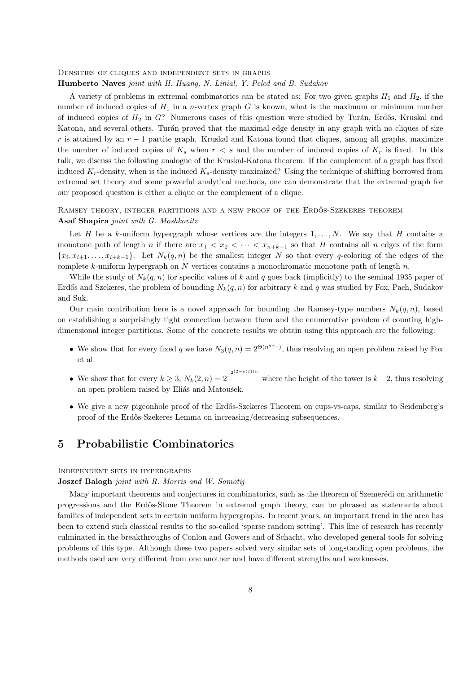#### Densities of cliques and independent sets in graphs

Humberto Naves joint with H. Huang, N. Linial, Y. Peled and B. Sudakov

A variety of problems in extremal combinatorics can be stated as: For two given graphs  $H_1$  and  $H_2$ , if the number of induced copies of  $H_1$  in a *n*-vertex graph G is known, what is the maximum or minimum number of induced copies of  $H_2$  in G? Numerous cases of this question were studied by Turán, Erdős, Kruskal and Katona, and several others. Turán proved that the maximal edge density in any graph with no cliques of size r is attained by an  $r-1$  partite graph. Kruskal and Katona found that cliques, among all graphs, maximize the number of induced copies of  $K_s$  when  $r < s$  and the number of induced copies of  $K_r$  is fixed. In this talk, we discuss the following analogue of the Kruskal-Katona theorem: If the complement of a graph has fixed induced  $K_r$ -density, when is the induced  $K_s$ -density maximized? Using the technique of shifting borrowed from extremal set theory and some powerful analytical methods, one can demonstrate that the extremal graph for our proposed question is either a clique or the complement of a clique.

### RAMSEY THEORY, INTEGER PARTITIONS AND A NEW PROOF OF THE ERDOS-SZEKERES THEOREM Asaf Shapira joint with G. Moshkovitz

Let H be a k-uniform hypergraph whose vertices are the integers  $1, \ldots, N$ . We say that H contains a monotone path of length n if there are  $x_1 < x_2 < \cdots < x_{n+k-1}$  so that H contains all n edges of the form  $\{x_i, x_{i+1}, \ldots, x_{i+k-1}\}.$  Let  $N_k(q, n)$  be the smallest integer N so that every q-coloring of the edges of the complete k-uniform hypergraph on  $N$  vertices contains a monochromatic monotone path of length  $n$ .

While the study of  $N_k(q, n)$  for specific values of k and q goes back (implicitly) to the seminal 1935 paper of Erdős and Szekeres, the problem of bounding  $N_k(q, n)$  for arbitrary k and q was studied by Fox, Pach, Sudakov and Suk.

Our main contribution here is a novel approach for bounding the Ramsey-type numbers  $N_k(q, n)$ , based on establishing a surprisingly tight connection between them and the enumerative problem of counting highdimensional integer partitions. Some of the concrete results we obtain using this approach are the following:

- We show that for every fixed q we have  $N_3(q,n) = 2^{\Theta(n^{q-1})}$ , thus resolving an open problem raised by Fox et al.
- We show that for every  $k \geq 3$ ,  $N_k(2, n) = 2^{(2-o(1))n}$ where the height of the tower is  $k - 2$ , thus resolving an open problem raised by Eliáš and Matoušek.
- We give a new pigeonhole proof of the Erdős-Szekeres Theorem on cups-vs-caps, similar to Seidenberg's proof of the Erd˝os-Szekeres Lemma on increasing/decreasing subsequences.

## 5 Probabilistic Combinatorics

## Independent sets in hypergraphs

## Joszef Balogh joint with R. Morris and W. Samotij

Many important theorems and conjectures in combinatorics, such as the theorem of Szemerédi on arithmetic progressions and the Erd˝os-Stone Theorem in extremal graph theory, can be phrased as statements about families of independent sets in certain uniform hypergraphs. In recent years, an important trend in the area has been to extend such classical results to the so-called 'sparse random setting'. This line of research has recently culminated in the breakthroughs of Conlon and Gowers and of Schacht, who developed general tools for solving problems of this type. Although these two papers solved very similar sets of longstanding open problems, the methods used are very different from one another and have different strengths and weaknesses.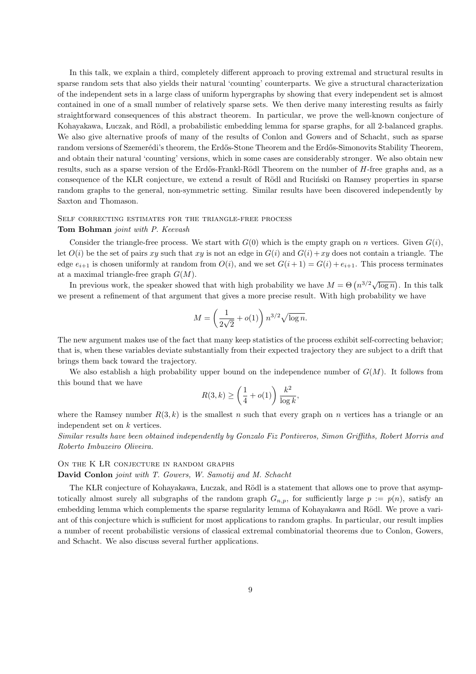In this talk, we explain a third, completely different approach to proving extremal and structural results in sparse random sets that also yields their natural 'counting' counterparts. We give a structural characterization of the independent sets in a large class of uniform hypergraphs by showing that every independent set is almost contained in one of a small number of relatively sparse sets. We then derive many interesting results as fairly straightforward consequences of this abstract theorem. In particular, we prove the well-known conjecture of Kohayakawa, Luczak, and Rödl, a probabilistic embedding lemma for sparse graphs, for all 2-balanced graphs. We also give alternative proofs of many of the results of Conlon and Gowers and of Schacht, such as sparse random versions of Szemerédi's theorem, the Erdős-Stone Theorem and the Erdős-Simonovits Stability Theorem, and obtain their natural 'counting' versions, which in some cases are considerably stronger. We also obtain new results, such as a sparse version of the Erdős-Frankl-Rödl Theorem on the number of  $H$ -free graphs and, as a consequence of the KLR conjecture, we extend a result of Rödl and Rucinski on Ramsey properties in sparse random graphs to the general, non-symmetric setting. Similar results have been discovered independently by Saxton and Thomason.

## Self correcting estimates for the triangle-free process

### Tom Bohman joint with P. Keevash

Consider the triangle-free process. We start with  $G(0)$  which is the empty graph on n vertices. Given  $G(i)$ , let  $O(i)$  be the set of pairs xy such that xy is not an edge in  $G(i)$  and  $G(i)+xy$  does not contain a triangle. The edge  $e_{i+1}$  is chosen uniformly at random from  $O(i)$ , and we set  $G(i+1) = G(i) + e_{i+1}$ . This process terminates at a maximal triangle-free graph  $G(M)$ .

In previous work, the speaker showed that with high probability we have  $M = \Theta(n^{3/2}\sqrt{\log n})$ . In this talk we present a refinement of that argument that gives a more precise result. With high probability we have

$$
M = \left(\frac{1}{2\sqrt{2}} + o(1)\right) n^{3/2} \sqrt{\log n}.
$$

The new argument makes use of the fact that many keep statistics of the process exhibit self-correcting behavior; that is, when these variables deviate substantially from their expected trajectory they are subject to a drift that brings them back toward the trajectory.

We also establish a high probability upper bound on the independence number of  $G(M)$ . It follows from this bound that we have

$$
R(3,k) \ge \left(\frac{1}{4} + o(1)\right) \frac{k^2}{\log k},
$$

where the Ramsey number  $R(3, k)$  is the smallest n such that every graph on n vertices has a triangle or an independent set on k vertices.

Similar results have been obtained independently by Gonzalo Fiz Pontiveros, Simon Griffiths, Robert Morris and Roberto Imbuzeiro Oliveira.

#### ON THE K LR CONJECTURE IN RANDOM GRAPHS

David Conlon joint with T. Gowers, W. Samotij and M. Schacht

The KLR conjecture of Kohayakawa, Luczak, and Rödl is a statement that allows one to prove that asymptotically almost surely all subgraphs of the random graph  $G_{n,p}$ , for sufficiently large  $p := p(n)$ , satisfy an embedding lemma which complements the sparse regularity lemma of Kohayakawa and Rödl. We prove a variant of this conjecture which is sufficient for most applications to random graphs. In particular, our result implies a number of recent probabilistic versions of classical extremal combinatorial theorems due to Conlon, Gowers, and Schacht. We also discuss several further applications.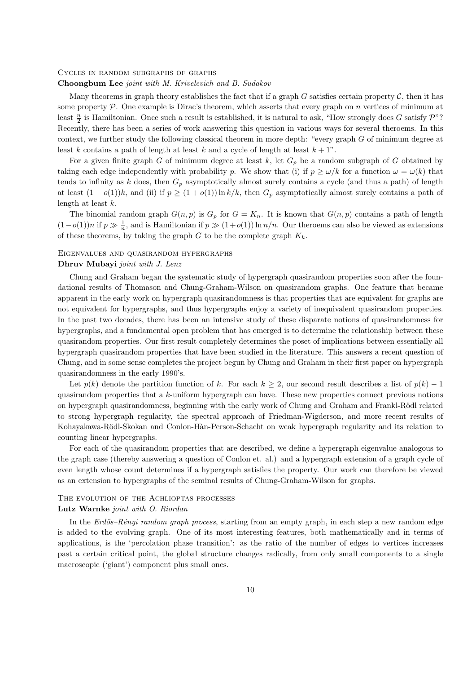#### Cycles in random subgraphs of graphs

#### Choongbum Lee joint with M. Krivelevich and B. Sudakov

Many theorems in graph theory establishes the fact that if a graph G satisfies certain property  $\mathcal{C}$ , then it has some property  $P$ . One example is Dirac's theorem, which asserts that every graph on n vertices of minimum at least  $\frac{n}{2}$  is Hamiltonian. Once such a result is established, it is natural to ask, "How strongly does G satisfy  $\mathcal{P}"$ ? Recently, there has been a series of work answering this question in various ways for several theroems. In this context, we further study the following classical theorem in more depth: "every graph G of minimum degree at least k contains a path of length at least k and a cycle of length at least  $k + 1$ ".

For a given finite graph G of minimum degree at least  $k$ , let  $G_p$  be a random subgraph of G obtained by taking each edge independently with probability p. We show that (i) if  $p \ge \omega/k$  for a function  $\omega = \omega(k)$  that tends to infinity as k does, then  $G_p$  asymptotically almost surely contains a cycle (and thus a path) of length at least  $(1 - o(1))k$ , and (ii) if  $p \ge (1 + o(1)) \ln k/k$ , then  $G_p$  asymptotically almost surely contains a path of length at least  $k$ .

The binomial random graph  $G(n, p)$  is  $G_p$  for  $G = K_n$ . It is known that  $G(n, p)$  contains a path of length  $(1-o(1))n$  if  $p \gg \frac{1}{n}$ , and is Hamiltonian if  $p \gg (1+o(1))\ln n/n$ . Our theroems can also be viewed as extensions of these theorems, by taking the graph  $G$  to be the complete graph  $K_k$ .

#### Eigenvalues and quasirandom hypergraphs

### Dhruv Mubayi joint with J. Lenz

Chung and Graham began the systematic study of hypergraph quasirandom properties soon after the foundational results of Thomason and Chung-Graham-Wilson on quasirandom graphs. One feature that became apparent in the early work on hypergraph quasirandomness is that properties that are equivalent for graphs are not equivalent for hypergraphs, and thus hypergraphs enjoy a variety of inequivalent quasirandom properties. In the past two decades, there has been an intensive study of these disparate notions of quasirandomness for hypergraphs, and a fundamental open problem that has emerged is to determine the relationship between these quasirandom properties. Our first result completely determines the poset of implications between essentially all hypergraph quasirandom properties that have been studied in the literature. This answers a recent question of Chung, and in some sense completes the project begun by Chung and Graham in their first paper on hypergraph quasirandomness in the early 1990's.

Let  $p(k)$  denote the partition function of k. For each  $k \geq 2$ , our second result describes a list of  $p(k) - 1$ quasirandom properties that a  $k$ -uniform hypergraph can have. These new properties connect previous notions on hypergraph quasirandomness, beginning with the early work of Chung and Graham and Frankl-Rödl related to strong hypergraph regularity, the spectral approach of Friedman-Wigderson, and more recent results of Kohayakawa-Rödl-Skokan and Conlon-Hàn-Person-Schacht on weak hypergraph regularity and its relation to counting linear hypergraphs.

For each of the quasirandom properties that are described, we define a hypergraph eigenvalue analogous to the graph case (thereby answering a question of Conlon et. al.) and a hypergraph extension of a graph cycle of even length whose count determines if a hypergraph satisfies the property. Our work can therefore be viewed as an extension to hypergraphs of the seminal results of Chung-Graham-Wilson for graphs.

#### THE EVOLUTION OF THE ACHLIOPTAS PROCESSES

#### Lutz Warnke joint with O. Riordan

In the  $Erd\acute{o}s-R\acute{e}nyi$  random graph process, starting from an empty graph, in each step a new random edge is added to the evolving graph. One of its most interesting features, both mathematically and in terms of applications, is the 'percolation phase transition': as the ratio of the number of edges to vertices increases past a certain critical point, the global structure changes radically, from only small components to a single macroscopic ('giant') component plus small ones.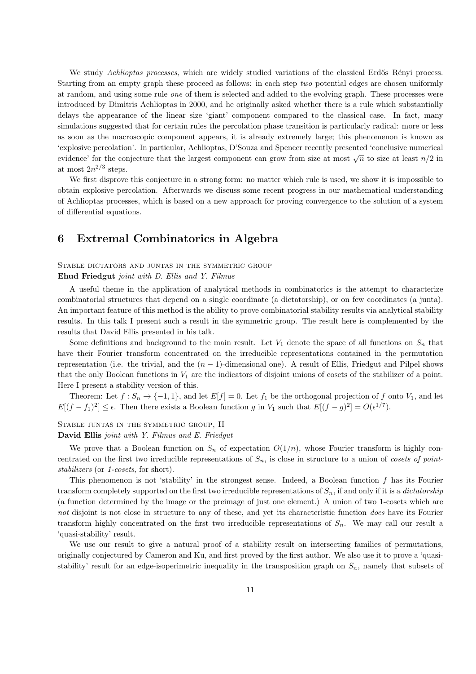We study Achlioptas processes, which are widely studied variations of the classical Erdős–Rényi process. Starting from an empty graph these proceed as follows: in each step two potential edges are chosen uniformly at random, and using some rule one of them is selected and added to the evolving graph. These processes were introduced by Dimitris Achlioptas in 2000, and he originally asked whether there is a rule which substantially delays the appearance of the linear size 'giant' component compared to the classical case. In fact, many simulations suggested that for certain rules the percolation phase transition is particularly radical: more or less as soon as the macroscopic component appears, it is already extremely large; this phenomenon is known as 'explosive percolation'. In particular, Achlioptas, D'Souza and Spencer recently presented 'conclusive numerical evidence' for the conjecture that the largest component can grow from size at most  $\sqrt{n}$  to size at least  $n/2$  in at most  $2n^{2/3}$  steps.

We first disprove this conjecture in a strong form: no matter which rule is used, we show it is impossible to obtain explosive percolation. Afterwards we discuss some recent progress in our mathematical understanding of Achlioptas processes, which is based on a new approach for proving convergence to the solution of a system of differential equations.

## 6 Extremal Combinatorics in Algebra

### Stable dictators and juntas in the symmetric group Ehud Friedgut joint with D. Ellis and Y. Filmus

A useful theme in the application of analytical methods in combinatorics is the attempt to characterize combinatorial structures that depend on a single coordinate (a dictatorship), or on few coordinates (a junta). An important feature of this method is the ability to prove combinatorial stability results via analytical stability results. In this talk I present such a result in the symmetric group. The result here is complemented by the results that David Ellis presented in his talk.

Some definitions and background to the main result. Let  $V_1$  denote the space of all functions on  $S_n$  that have their Fourier transform concentrated on the irreducible representations contained in the permutation representation (i.e. the trivial, and the  $(n - 1)$ -dimensional one). A result of Ellis, Friedgut and Pilpel shows that the only Boolean functions in  $V_1$  are the indicators of disjoint unions of cosets of the stabilizer of a point. Here I present a stability version of this.

Theorem: Let  $f: S_n \to \{-1,1\}$ , and let  $E[f] = 0$ . Let  $f_1$  be the orthogonal projection of f onto  $V_1$ , and let  $E[(f-f_1)^2] \leq \epsilon$ . Then there exists a Boolean function g in  $V_1$  such that  $E[(f-g)^2] = O(\epsilon^{1/7})$ .

#### Stable juntas in the symmetric group, II

### David Ellis joint with Y. Filmus and E. Friedgut

We prove that a Boolean function on  $S_n$  of expectation  $O(1/n)$ , whose Fourier transform is highly concentrated on the first two irreducible representations of  $S_n$ , is close in structure to a union of cosets of pointstabilizers (or 1-cosets, for short).

This phenomenon is not 'stability' in the strongest sense. Indeed, a Boolean function  $f$  has its Fourier transform completely supported on the first two irreducible representations of  $S_n$ , if and only if it is a *dictatorship* (a function determined by the image or the preimage of just one element.) A union of two 1-cosets which are not disjoint is not close in structure to any of these, and yet its characteristic function does have its Fourier transform highly concentrated on the first two irreducible representations of  $S_n$ . We may call our result a 'quasi-stability' result.

We use our result to give a natural proof of a stability result on intersecting families of permutations, originally conjectured by Cameron and Ku, and first proved by the first author. We also use it to prove a 'quasistability' result for an edge-isoperimetric inequality in the transposition graph on  $S_n$ , namely that subsets of